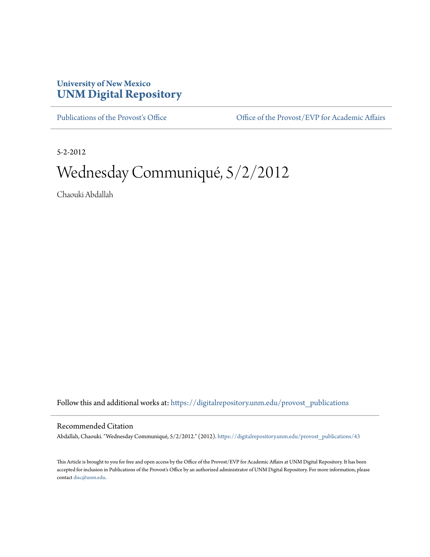## **University of New Mexico [UNM Digital Repository](https://digitalrepository.unm.edu?utm_source=digitalrepository.unm.edu%2Fprovost_publications%2F43&utm_medium=PDF&utm_campaign=PDFCoverPages)**

[Publications of the Provost's Office](https://digitalrepository.unm.edu/provost_publications?utm_source=digitalrepository.unm.edu%2Fprovost_publications%2F43&utm_medium=PDF&utm_campaign=PDFCoverPages) Office [Office of the Provost/EVP for Academic Affairs](https://digitalrepository.unm.edu/ofc_provost?utm_source=digitalrepository.unm.edu%2Fprovost_publications%2F43&utm_medium=PDF&utm_campaign=PDFCoverPages)

5-2-2012

# Wednesday Communiqué, 5/2/2012

Chaouki Abdallah

Follow this and additional works at: [https://digitalrepository.unm.edu/provost\\_publications](https://digitalrepository.unm.edu/provost_publications?utm_source=digitalrepository.unm.edu%2Fprovost_publications%2F43&utm_medium=PDF&utm_campaign=PDFCoverPages)

#### Recommended Citation

Abdallah, Chaouki. "Wednesday Communiqué, 5/2/2012." (2012). [https://digitalrepository.unm.edu/provost\\_publications/43](https://digitalrepository.unm.edu/provost_publications/43?utm_source=digitalrepository.unm.edu%2Fprovost_publications%2F43&utm_medium=PDF&utm_campaign=PDFCoverPages)

This Article is brought to you for free and open access by the Office of the Provost/EVP for Academic Affairs at UNM Digital Repository. It has been accepted for inclusion in Publications of the Provost's Office by an authorized administrator of UNM Digital Repository. For more information, please contact [disc@unm.edu.](mailto:disc@unm.edu)